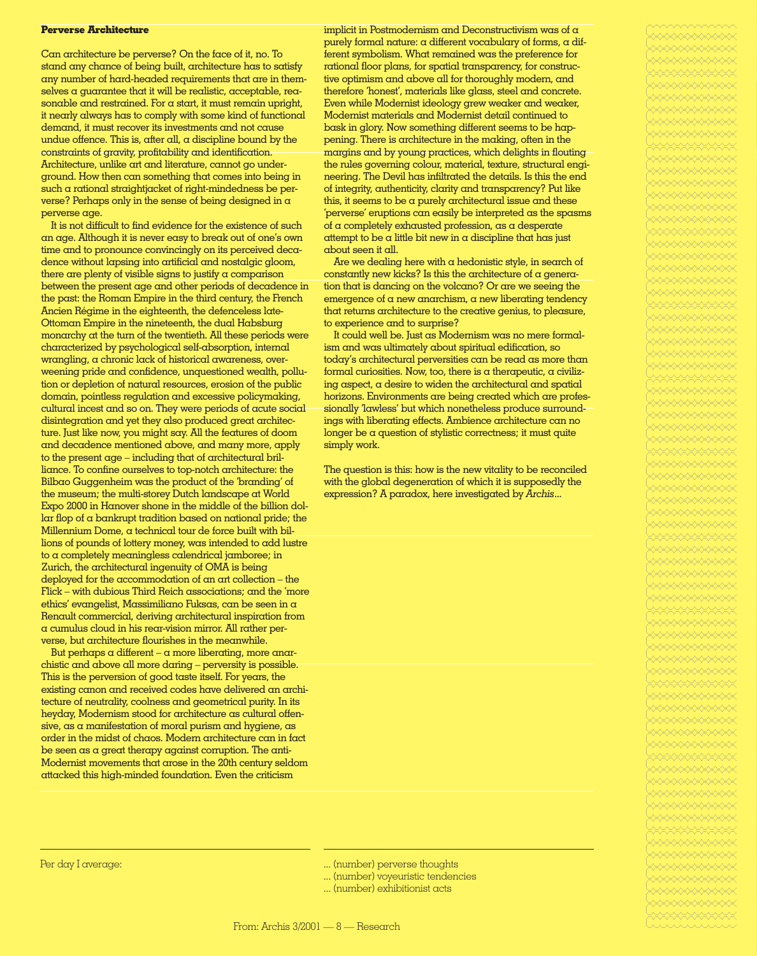## **Perverse Architecture**

Can architecture be perverse? On the face of it, no. To stand any chance of being built, architecture has to satisfy any number of hard-headed requirements that are in themselves a guarantee that it will be realistic, acceptable, reasonable and restrained. For a start, it must remain upright, it nearly always has to comply with some kind of functional demand, it must recover its investments and not cause undue offence. This is, after all,  $\alpha$  discipline bound by the constraints of gravity, profitability and identification. Architecture, unlike art and literature, cannot go underground. How then can something that comes into being in such a rational straightjacket of right-mindedness be perverse? Perhaps only in the sense of being designed in a perverse age.

It is not difficult to find evidence for the existence of such an age. Although it is never easy to break out of one's own time and to pronounce convincingly on its perceived decadence without lapsing into artificial and nostalgic gloom, there are plenty of visible signs to justify a comparison between the present age and other periods of decadence in the past: the Roman Empire in the third century, the French Ancien Régime in the eighteenth, the defenceless late-Ottoman Empire in the nineteenth, the dual Habsburg monarchy at the turn of the twentieth. All these periods were characterized by psychological self-absorption, internal wrangling, a chronic lack of historical awareness, overweening pride and confidence, unquestioned wealth, pollution or depletion of natural resources, erosion of the public domain, pointless regulation and excessive policymaking, cultural incest and so on. They were periods of acute social disintegration and yet they also produced great architecture. Just like now, you might say. All the features of doom and decadence mentioned above, and many more, apply to the present age – including that of architectural brilliance. To confine ourselves to top-notch architecture: the Bilbao Guggenheim was the product of the 'branding' of the museum; the multi-storey Dutch landscape at World Expo 2000 in Hanover shone in the middle of the billion dollar flop of a bankrupt tradition based on national pride; the Millennium Dome, a technical tour de force built with billions of pounds of lottery money, was intended to add lustre to a completely meaningless calendrical jamboree; in Zurich, the architectural ingenuity of OMA is being deployed for the accommodation of an art collection – the Flick – with dubious Third Reich associations; and the 'more ethics' evangelist, Massimiliano Fuksas, can be seen in a Renault commercial, deriving architectural inspiration from a cumulus cloud in his rear-vision mirror. All rather perverse, but architecture flourishes in the meanwhile.

But perhaps a different –  $\alpha$  more liberating, more anarchistic and above all more daring – perversity is possible. This is the perversion of good taste itself. For years, the existing canon and received codes have delivered an architecture of neutrality, coolness and geometrical purity. In its heyday, Modernism stood for architecture as cultural offensive, as a manifestation of moral purism and hygiene, as order in the midst of chaos. Modern architecture can in fact be seen as a great therapy against corruption. The anti-Modernist movements that arose in the 20th century seldom attacked this high-minded foundation. Even the criticism

implicit in Postmodernism and Deconstructivism was of a purely formal nature: a different vocabulary of forms, a different symbolism. What remained was the preference for rational floor plans, for spatial transparency, for constructive optimism and above all for thoroughly modern, and therefore 'honest', materials like glass, steel and concrete. Even while Modernist ideology grew weaker and weaker, Modernist materials and Modernist detail continued to bask in glory. Now something different seems to be happening. There is architecture in the making, often in the margins and by young practices, which delights in flouting the rules governing colour, material, texture, structural engineering. The Devil has infiltrated the details. Is this the end of integrity, authenticity, clarity and transparency? Put like this, it seems to be a purely architectural issue and these 'perverse' eruptions can easily be interpreted as the spasms of a completely exhausted profession, as a desperate attempt to be a little bit new in a discipline that has just about seen it all.

Are we dealing here with a hedonistic style, in search of constantly new kicks? Is this the architecture of  $\alpha$  generation that is dancing on the volcano? Or are we seeing the emergence of a new anarchism, a new liberating tendency that returns architecture to the creative genius, to pleasure, to experience and to surprise?

It could well be. Just as Modernism was no mere formalism and was ultimately about spiritual edification, so today's architectural perversities can be read as more than formal curiosities. Now, too, there is a therapeutic, a civilizing aspect, a desire to widen the architectural and spatial horizons. Environments are being created which are professionally 'lawless' but which nonetheless produce surroundings with liberating effects. Ambience architecture can no longer be a question of stylistic correctness; it must quite simply work.

The question is this: how is the new vitality to be reconciled with the global degeneration of which it is supposedly the expression? A paradox, here investigated by *Archis*...

Per day I average: ... (number) perverse thoughts

- ... (number) voyeuristic tendencies
- ... (number) exhibitionist acts

c%%%%%%%%%%%%c%%%%%%%%%%%%c%%%%%%%%%%%%c%%%%%%%%%%%%c%%%%%%%%%%%%c%%%%%%%%%%%%c%%%%%%%%%%%%c%%%%%%%%%%%%c%%%%%%%%%%%%c%%%%%%%%%%%%c%%%%%%%%%%%%c%%%%%%%%%%%%c%%%%%%%%%%%%c%%%%%%%%%%%%c%%%%%%%%%%%%c%%%%%%%%%%%%c%%%%%%%%%%%%c%%%%%%%%%%%%c%%%%%%%%%%%%c%%%%%%%%%%%%c%%%%%%%%%%%%c%%%%%%%%%%%%c%%%%%%%%%%%%c%%%%%%%%%%%%c%%%%%%%%%%%%c%%%%%%%%%%%%c%%%%%%%%%%%%c%%%%%%%%%%%%c%%%%%%%%%%%%c%%%%%%%%%%%%c%%%%%%%%%%%%c%%%%%%%%%%%%c%%%%%%%%%%%%c%%%%%%%%%%%%c%%%%%%%%%%%%c%%%%%%%%%%%%c%%%%%%%%%%%%c%%%%%%%%%%%%c%%%%%%%%%%%%c%%%%%%%%%%%%c%%%%%%%%%%%%c%%%%%%%%%%%%c%%%%%%%%%%%%c%%%%%%%%%%%%c%%%%%%%%%%%%c%%%%%%%%%%%%c%%%%%%%%%%%%c%%%%%%%%%%%%c%%%%%%%%%%%%c%%%%%%%%%%%%c%%%%%%%%%%%%c%%%%%%%%%%%%c%%%%%%%%%%%%c%%%%%%%%%%%%c%%%%%%%%%%%%c%%%%%%%%%%%%c%%%%%%%%%%%%c%%%%%%%%%%%%c%%%%%%%%%%%%c%%%%%%%%%%%%c%%%%%%%%%%%%c%%%%%%%%%%%%c%%%%%%%%%%%%c%%%%%%%%%%%%c%%%%%%%%%%%%c%%%%%%%%%%%%c%%%%%%%%%%%%c%%%%%%%%%%%%c%%%%%%%%%%%%c%%%%%%%%%%%%c%%%%%%%%%%%%c%%%%%%%%%%%% c%%%%%%%%%%%%

c%%%%%%%%%%%%